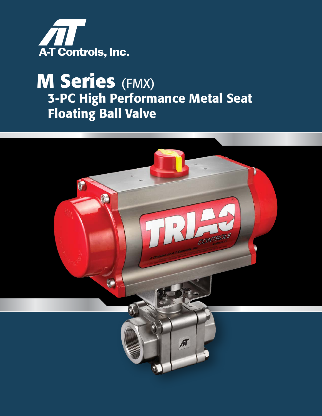

# **M Series** (FMX) 3-PC High Performance Metal Seat Floating Ball Valve

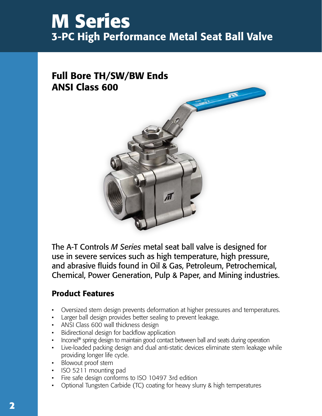# **M Series** 3-PC High Performance Metal Seat Ball Valve

## Full Bore TH/SW/BW Ends ANSI Class 600



The A-T Controls *M Series* metal seat ball valve is designed for use in severe services such as high temperature, high pressure, and abrasive fluids found in Oil & Gas, Petroleum, Petrochemical, Chemical, Power Generation, Pulp & Paper, and Mining industries.

### Product Features

- Oversized stem design prevents deformation at higher pressures and temperatures.
- Larger ball design provides better sealing to prevent leakage.
- ANSI Class 600 wall thickness design
- Bidirectional design for backflow application
- Inconel<sup>®</sup> spring design to maintain good contact between ball and seats during operation
- Live-loaded packing design and dual anti-static devices eliminate stem leakage while providing longer life cycle.
- Blowout proof stem
- ISO 5211 mounting pad
- Fire safe design conforms to ISO 10497 3rd edition
- Optional Tungsten Carbide (TC) coating for heavy slurry & high temperatures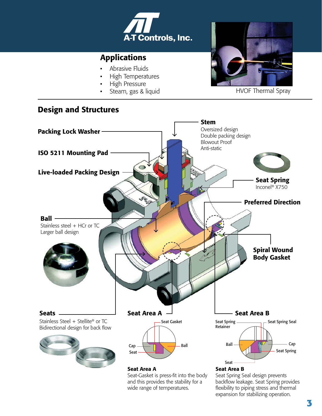

### Applications

- Abrasive Fluids
- High Temperatures
- High Pressure
- 



• Steam, gas & liquid HVOF Thermal Spray



### **3**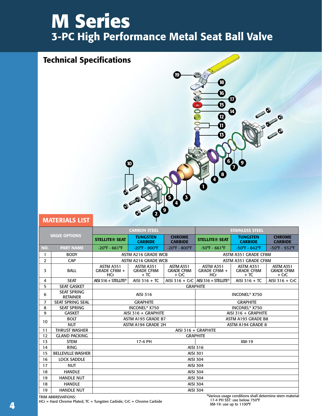# **M Series** 3-PC High Performance Metal Seat Ball Valve

### Technical Specifications



MATERIALS LIST

|                |                                       |                                                                    | <b>CARBON STEEL</b>                            |                                           | <b>STAINLESS STEEL</b>                         |                                         |                                         |  |  |  |  |  |
|----------------|---------------------------------------|--------------------------------------------------------------------|------------------------------------------------|-------------------------------------------|------------------------------------------------|-----------------------------------------|-----------------------------------------|--|--|--|--|--|
|                | <b>VALVE OPTIONS</b>                  | <b>STELLITE® SEAT</b>                                              | <b>TUNGSTEN</b><br><b>CARBIDE</b>              | <b>CHROME</b><br><b>CARBIDE</b>           | <b>STELLITE® SEAT</b>                          | <b>TUNGSTEN</b><br><b>CARBIDE</b>       | <b>CHROME</b><br><b>CARBIDE</b>         |  |  |  |  |  |
| NO.            | <b>PART NAME</b>                      | $-20^{\circ}$ F - 661 $^{\circ}$ F                                 | $-20^{\circ}F - 800^{\circ}F$                  | $-20^{\circ}$ F - 800 $^{\circ}$ F        | $-50^{\circ}$ F - 661 $^{\circ}$ F             | $-50^{\circ}$ F - 842°F                 | $-50^{\circ}F - 932^{\circ}F$           |  |  |  |  |  |
| 1              | <b>BODY</b>                           |                                                                    | ASTM A216 GRADE WCB                            |                                           | ASTM A351 GRADE CF8M                           |                                         |                                         |  |  |  |  |  |
| $\overline{2}$ | <b>CAP</b>                            |                                                                    | ASTM A216 GRADE WCB                            |                                           | ASTM A351 GRADE CF8M                           |                                         |                                         |  |  |  |  |  |
| 3              | <b>BALL</b>                           | ASTM A351<br>GRADE CF8M +<br>HCr                                   | <b>ASTM A351</b><br><b>GRADE CF8M</b><br>$+TC$ | ASTM A351<br><b>GRADE CF8M</b><br>$+$ CrC | <b>ASTM A351</b><br>GRADE CF8M +<br><b>HCr</b> | ASTM A351<br><b>GRADE CF8M</b><br>$+TC$ | ASTM A351<br><b>GRADE CF8M</b><br>+ CrC |  |  |  |  |  |
| 4              | <b>SEAT</b>                           | $AISI 316 + STELLITE®$                                             | AISI 316 + TC                                  |                                           | AISI 316 + CrC $ABIS16 + STELITE®$             | AISI 316 + TC                           | AISI $316 + CrC$                        |  |  |  |  |  |
| 5              | <b>SEAT GASKET</b>                    |                                                                    |                                                |                                           | <b>GRAPHITE</b>                                |                                         |                                         |  |  |  |  |  |
| 6              | <b>SEAT SPRING</b><br><b>RETAINER</b> |                                                                    | AISI 316                                       |                                           | <b>INCONEL<sup>®</sup> X750</b>                |                                         |                                         |  |  |  |  |  |
| 7              | <b>SEAT SPRING SEAL</b>               | <b>GRAPHITE</b><br><b>GRAPHITE</b>                                 |                                                |                                           |                                                |                                         |                                         |  |  |  |  |  |
| 8              | <b>SEAT SPRING</b>                    | <b>INCONEL<sup>®</sup> X750</b><br><b>INCONEL<sup>®</sup> X750</b> |                                                |                                           |                                                |                                         |                                         |  |  |  |  |  |
| 9              | <b>GASKET</b>                         | AISI 316 + GRAPHITE<br>AISI 316 + GRAPHITE                         |                                                |                                           |                                                |                                         |                                         |  |  |  |  |  |
| 10             | <b>BOLT</b>                           |                                                                    | ASTM A193 GRADE B7                             |                                           | ASTM A193 GRADE B8                             |                                         |                                         |  |  |  |  |  |
|                | <b>NUT</b>                            |                                                                    | ASTM A194 GRADE 2H                             |                                           | ASTM A194 GRADE 8                              |                                         |                                         |  |  |  |  |  |
| 11             | <b>THRUST WASHER</b>                  | AISI 316 + GRAPHITE                                                |                                                |                                           |                                                |                                         |                                         |  |  |  |  |  |
| 12             | <b>GLAND PACKING</b>                  | <b>GRAPHITE</b>                                                    |                                                |                                           |                                                |                                         |                                         |  |  |  |  |  |
| 13             | <b>STEM</b>                           |                                                                    | 17-4 PH                                        |                                           | XM-19                                          |                                         |                                         |  |  |  |  |  |
| 14             | <b>RING</b>                           |                                                                    | AISI 316                                       |                                           |                                                |                                         |                                         |  |  |  |  |  |
| 15             | <b>BELLEVILLE WASHER</b>              | <b>AISI 301</b>                                                    |                                                |                                           |                                                |                                         |                                         |  |  |  |  |  |
| 16             | <b>LOCK SADDLE</b>                    | <b>AISI 304</b>                                                    |                                                |                                           |                                                |                                         |                                         |  |  |  |  |  |
| 17             | <b>NUT</b>                            | <b>AISI 304</b>                                                    |                                                |                                           |                                                |                                         |                                         |  |  |  |  |  |
| 18             | <b>HANDLE</b>                         | <b>AISI 304</b>                                                    |                                                |                                           |                                                |                                         |                                         |  |  |  |  |  |
| 19             | <b>HANDLE NUT</b>                     | <b>AISI 304</b>                                                    |                                                |                                           |                                                |                                         |                                         |  |  |  |  |  |
| 18             | <b>HANDLE</b>                         |                                                                    |                                                |                                           | <b>AISI 304</b>                                |                                         |                                         |  |  |  |  |  |
| 19             | <b>HANDLE NUT</b>                     |                                                                    |                                                |                                           | <b>AISI 304</b>                                |                                         |                                         |  |  |  |  |  |

TRIM ABBREVIATIONS: HCr = Hard Chrome Plated; TC = Tungsten Carbide; CrC = Chrome Carbide \*Various usage conditions shall determine stem material 17-4 PH SST: use below 750°F XM-19: use up to 1100°F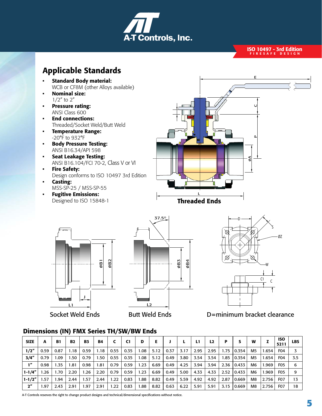

### ISO 10497 - 3rd Edition FIRESAFE DESIGN



1-1/2"| 1.57 | 1.94 | 2.44 | 1.57 | 2.44 | 1.22 | 0.83 | 1.88 | 8.82 | 0.49 | 5.59 | 4.92 | 4.92 | 2.87 |0.669 | M8 |2.756 | F07 | 13 2″ | 1.97 | 2.43 | 2.91 | 1.97 | 2.91 | 1.22 | 0.83 | 1.88 | 8.82 | 0.63 | 6.22 | 5.91 | 5.91 | 3.15 |0.669 | M8 |2.756 | F07 | 18

A-T Controls reserves the right to change product designs and technical/dimensional specifications without notice.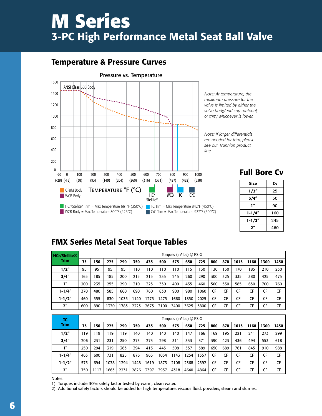# **M Series** 3-PC High Performance Metal Seat Ball Valve

# Temperature & Pressure Curves



*Note: At temperature, the maximum pressure for the valve is limited by either the valve body/end cap material, or trim; whichever is lower.*

*Note: If larger differentials are needed for trim, please see our Trunnion product* 

### Full Bore Cv

| Size        | Cv  |
|-------------|-----|
| 1/2"        | 25  |
| 3/4"        | 50  |
| $^{\prime}$ | 90  |
| $1 - 1/4"$  | 160 |
| $1 - 1/2"$  | 245 |
| 2           | 460 |

### FMX Series Metal Seat Torque Tables

| <b>HCr/Stellite®</b> | Torques (in*lbs) @ PSIG |     |      |      |      |      |      |      |      |      |           |     |      |      |      |      |
|----------------------|-------------------------|-----|------|------|------|------|------|------|------|------|-----------|-----|------|------|------|------|
| <b>Trim</b>          | 75                      | 150 | 225  | 290  | 350  | 435  | 500  | 575  | 650  | 725  | 800       | 870 | 1015 | 1160 | 1300 | 1450 |
| 1/2"                 | 95                      | 95  | 95   | 95   | 110  | 10   | 110  | 110  | 115  | 130  | 130       | 150 | 170  | 185  | 210  | 230  |
| 3/4"                 | 165                     | 185 | 185  | 200  | 215  | 215  | 235  | 245  | 260  | 290  | 300       | 325 | 335  | 380  | 425  | 475  |
| 1"                   | 200                     | 235 | 255  | 290  | 310  | 325  | 350  | 400  | 435  | 460  | 500       | 530 | 585  | 650  | 700  | 760  |
| $1 - 1/4"$           | 370                     | 480 | 585  | 660  | 690  | 760  | 830  | 900  | 980  | 1060 | CF        | CF  | CF   | CF   | CF   | CF   |
| $1 - 1/2"$           | 460                     | 555 | 830  | 1035 | 1140 | 1275 | 1475 | 1660 | 1850 | 2025 | CF        | CF  | CF   | CF   | CF   | CF   |
| 2"                   | 600                     | 890 | 1330 | 1785 | 2225 | 2675 | 3100 | 3400 | 3625 | 3800 | <b>CF</b> | CF  | CF   | CF   | CF   | CF   |

| <b>TC</b>   | Torques (in*lbs) @ PSIG |      |      |      |      |      |      |      |      |      |           |           |           |      |      |           |
|-------------|-------------------------|------|------|------|------|------|------|------|------|------|-----------|-----------|-----------|------|------|-----------|
| <b>Trim</b> | 75                      | 150  | 225  | 290  | 350  | 435  | 500  | 575  | 650  | 725  | 800       | 870       | 1015      | 1160 | 1300 | 1450      |
| 1/2"        | 119                     | 19   | 119  | 119  | 140  | 140  | 140  | 140  | 147  | 166  | 169       | 195       | 221       | 241  | 273  | 299       |
| 3/4"        | 206                     | 231  | 231  | 250  | 273  | 273  | 298  | 311  | 333  | 371  | 390       | 423       | 436       | 494  | 553  | 618       |
| 1"          | 250                     | 294  | 319  | 363  | 394  | 413  | 445  | 508  | 557  | 589  | 650       | 689       | 761       | 845  | 910  | 988       |
| $1 - 1/4"$  | 463                     | 600  | 731  | 825  | 876  | 965  | 1054 | 1143 | 1254 | 1357 | CF        | CF        | CF        | CF   | CF   | CF        |
| $1 - 1/2"$  | 575                     | 694  | 1038 | 1294 | 1448 | 1619 | 1873 | 2108 | 2368 | 2592 | <b>CF</b> | CF        | CF        | CF   | CF   | <b>CF</b> |
| 2"          | 750                     | 1113 | 663  | 2231 | 2826 | 3397 | 3937 | 4318 | 4640 | 4864 | <b>CF</b> | <b>CF</b> | <b>CF</b> | CF   | CF   | CF        |

Notes:

1) Torques include 30% safety factor tested by warm, clean water.

2) Additional safety factors should be added for high temperature, viscous fluid, powders, steam and slurries.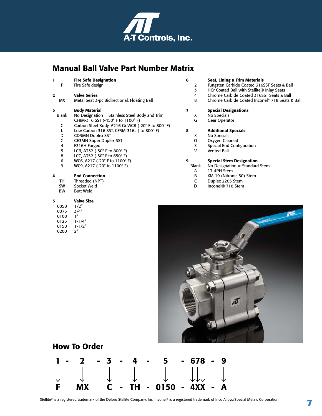

#### Manual Ball Valve Part Number Matrix

| $\mathbf{1}$<br>F | <b>Fire Safe Designation</b><br>Fire Safe design                                    |
|-------------------|-------------------------------------------------------------------------------------|
| $\mathbf{z}$      | <b>Valve Series</b>                                                                 |
| МX                | Metal Seat 3-pc Bidirectional, Floating Ball                                        |
| 3                 | <b>Body Material</b>                                                                |
| <b>Blank</b>      | No Designation = Stainless Steel Body and Trim<br>CF8M-316 SST (-450° F to 1100° F) |
| C                 | Carbon Steel Body, A216 Gr WCB (-20° F to 800° F)                                   |
| L                 | Low Carbon 316 SST, CF3M-316L (to 800°F)                                            |
| D                 | <b>CD3MN Duplex SST</b>                                                             |
| G                 | <b>CE3MN Super Duplex SST</b>                                                       |
| 4                 | F316H Forged                                                                        |
| 5                 | LCB, A352 (-50° F to 800° F)                                                        |
| 8                 | LCC, A352 (-50° F to 650° F)                                                        |
| 6                 | WC6, A217 (-20° F to 1100° F)                                                       |
| 9                 | WC9, A217 (-20° to 1100° F)                                                         |
| 4                 | <b>End Connection</b>                                                               |
| TH                | Threaded (NPT)                                                                      |
| SW                | Socket Weld                                                                         |
| BW                | <b>Butt Weld</b>                                                                    |
| 5                 | <b>Valve Size</b>                                                                   |
| 0050              | 1/2"                                                                                |
| 0075              | 3/4''                                                                               |
| 0100              | 1 <sup>n</sup>                                                                      |
| 0125              | $1 - 1/4"$                                                                          |
| 0150              | $1 - 1/2"$                                                                          |

 $\frac{1-1}{2}$ "

0200

#### 6 Seat, Lining & Trim Materials

- 2 Tungsten Carbide Coated 316SST Seats & Ball<br>3 HCr Coated Ball with Stellite® Inlay Seats
	- 3 HCr Coated Ball with Stellite® Inlay Seats
- 4 Chrome Carbide Coated 316SST Seats & Ball
- 8 Chrome Carbide Coated Inconel® 718 Seats & Ball

#### **7** Special Designations<br> **X** No Specials

- X No Specials<br>G Gear Operat
	- Gear Operator

### 8 **Additional Specials**<br>X No Specials

- No Specials
- O Oxygen Cleaned<br>
Z Special End Conf
	- Special End Configuration
- V Vented Ball

### **9 Special Stem Designation**<br>Blank No Designation = Standard

- $\overline{a}$  No Designation = Standard Stem
- A 17-4PH Stem
- B XM-19 (Nitronic 50) Stem<br>C Duplex 2205 Stem
- C Duplex 2205 Stem<br>D Inconel® 718 Stem
- Inconel<sup>®</sup> 718 Stem